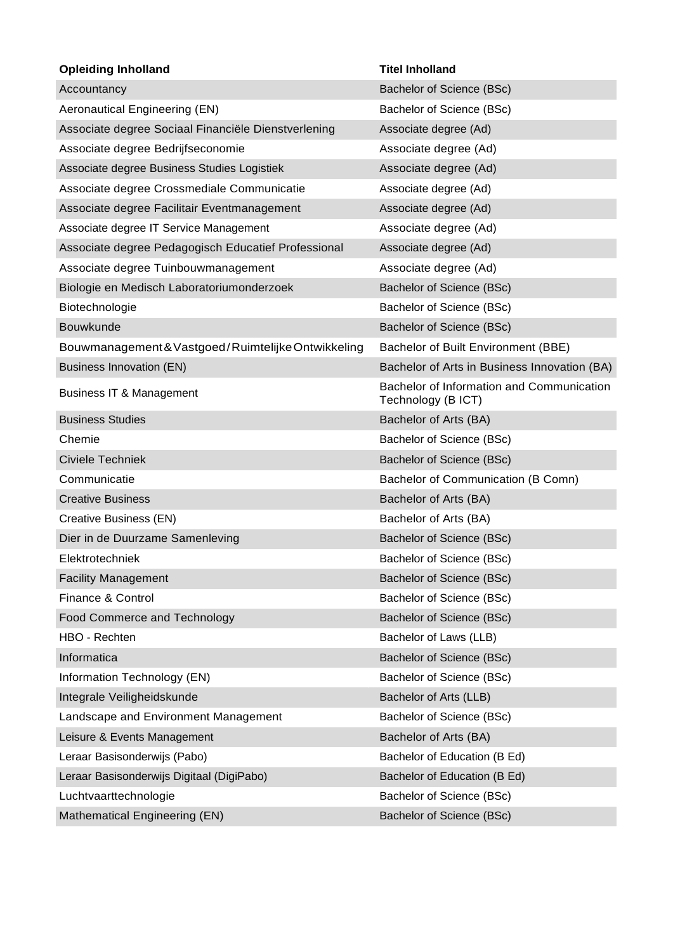| <b>Opleiding Inholland</b>                          | <b>Titel Inholland</b>                                          |
|-----------------------------------------------------|-----------------------------------------------------------------|
| Accountancy                                         | Bachelor of Science (BSc)                                       |
| Aeronautical Engineering (EN)                       | Bachelor of Science (BSc)                                       |
| Associate degree Sociaal Financiële Dienstverlening | Associate degree (Ad)                                           |
| Associate degree Bedrijfseconomie                   | Associate degree (Ad)                                           |
| Associate degree Business Studies Logistiek         | Associate degree (Ad)                                           |
| Associate degree Crossmediale Communicatie          | Associate degree (Ad)                                           |
| Associate degree Facilitair Eventmanagement         | Associate degree (Ad)                                           |
| Associate degree IT Service Management              | Associate degree (Ad)                                           |
| Associate degree Pedagogisch Educatief Professional | Associate degree (Ad)                                           |
| Associate degree Tuinbouwmanagement                 | Associate degree (Ad)                                           |
| Biologie en Medisch Laboratoriumonderzoek           | Bachelor of Science (BSc)                                       |
| Biotechnologie                                      | Bachelor of Science (BSc)                                       |
| Bouwkunde                                           | Bachelor of Science (BSc)                                       |
| Bouwmanagement & Vastgoed/Ruimtelijke Ontwikkeling  | Bachelor of Built Environment (BBE)                             |
| <b>Business Innovation (EN)</b>                     | Bachelor of Arts in Business Innovation (BA)                    |
| <b>Business IT &amp; Management</b>                 | Bachelor of Information and Communication<br>Technology (B ICT) |
| <b>Business Studies</b>                             | Bachelor of Arts (BA)                                           |
| Chemie                                              | Bachelor of Science (BSc)                                       |
| Civiele Techniek                                    | Bachelor of Science (BSc)                                       |
| Communicatie                                        | Bachelor of Communication (B Comn)                              |
| <b>Creative Business</b>                            | Bachelor of Arts (BA)                                           |
| Creative Business (EN)                              | Bachelor of Arts (BA)                                           |
| Dier in de Duurzame Samenleving                     | Bachelor of Science (BSc)                                       |
| Elektrotechniek                                     | Bachelor of Science (BSc)                                       |
| <b>Facility Management</b>                          | Bachelor of Science (BSc)                                       |
| Finance & Control                                   | Bachelor of Science (BSc)                                       |
| Food Commerce and Technology                        | Bachelor of Science (BSc)                                       |
| HBO - Rechten                                       | Bachelor of Laws (LLB)                                          |
| Informatica                                         | Bachelor of Science (BSc)                                       |
| Information Technology (EN)                         | Bachelor of Science (BSc)                                       |
| Integrale Veiligheidskunde                          | Bachelor of Arts (LLB)                                          |
| Landscape and Environment Management                | Bachelor of Science (BSc)                                       |
| Leisure & Events Management                         | Bachelor of Arts (BA)                                           |
| Leraar Basisonderwijs (Pabo)                        | Bachelor of Education (B Ed)                                    |
| Leraar Basisonderwijs Digitaal (DigiPabo)           | Bachelor of Education (B Ed)                                    |
| Luchtvaarttechnologie                               | Bachelor of Science (BSc)                                       |
| Mathematical Engineering (EN)                       | Bachelor of Science (BSc)                                       |